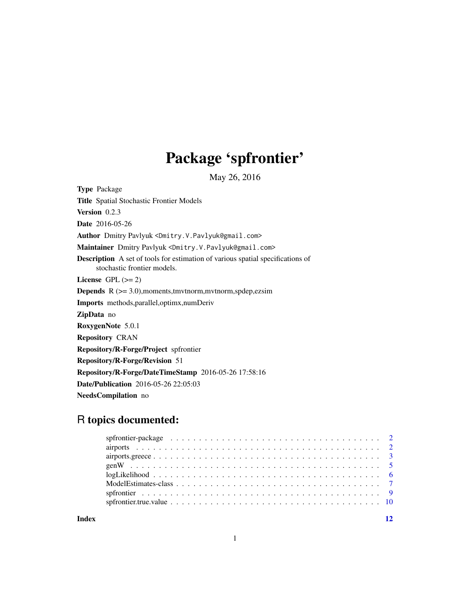# Package 'spfrontier'

May 26, 2016

<span id="page-0-0"></span>Type Package Title Spatial Stochastic Frontier Models Version 0.2.3 Date 2016-05-26 Author Dmitry Pavlyuk <Dmitry.V.Pavlyuk@gmail.com> Maintainer Dmitry Pavlyuk <Dmitry.V.Pavlyuk@gmail.com> Description A set of tools for estimation of various spatial specifications of stochastic frontier models. License GPL  $(>= 2)$ **Depends** R  $(>= 3.0)$ , moments, tmvtnorm, mvtnorm, spdep, ezsim Imports methods,parallel,optimx,numDeriv ZipData no RoxygenNote 5.0.1 Repository CRAN Repository/R-Forge/Project spfrontier Repository/R-Forge/Revision 51 Repository/R-Forge/DateTimeStamp 2016-05-26 17:58:16 Date/Publication 2016-05-26 22:05:03 NeedsCompilation no

# R topics documented:

| $logLikelihood \ldots \ldots \ldots \ldots \ldots \ldots \ldots \ldots \ldots \ldots \ldots \ldots$ |  |
|-----------------------------------------------------------------------------------------------------|--|
|                                                                                                     |  |
|                                                                                                     |  |
|                                                                                                     |  |
|                                                                                                     |  |

**Index** [12](#page-11-0)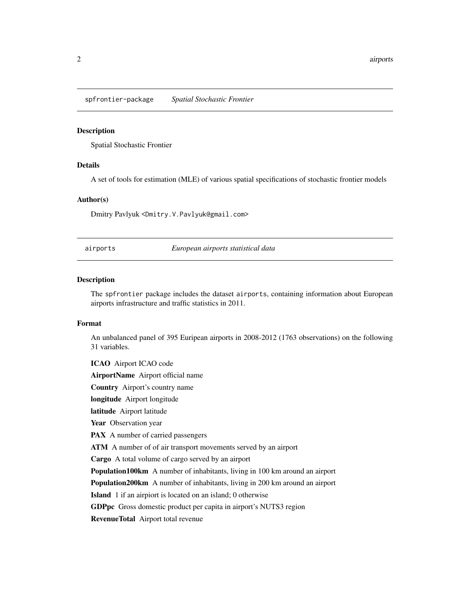<span id="page-1-0"></span>spfrontier-package *Spatial Stochastic Frontier*

#### Description

Spatial Stochastic Frontier

ICAO Airport ICAO code

# Details

A set of tools for estimation (MLE) of various spatial specifications of stochastic frontier models

#### Author(s)

Dmitry Pavlyuk <Dmitry.V.Pavlyuk@gmail.com>

airports *European airports statistical data*

#### Description

The spfrontier package includes the dataset airports, containing information about European airports infrastructure and traffic statistics in 2011.

#### Format

An unbalanced panel of 395 Euripean airports in 2008-2012 (1763 observations) on the following 31 variables.

AirportName Airport official name Country Airport's country name longitude Airport longitude latitude Airport latitude Year Observation year PAX A number of carried passengers ATM A number of of air transport movements served by an airport Cargo A total volume of cargo served by an airport Population100km A number of inhabitants, living in 100 km around an airport Population200km A number of inhabitants, living in 200 km around an airport Island 1 if an airpiort is located on an island; 0 otherwise GDPpc Gross domestic product per capita in airport's NUTS3 region RevenueTotal Airport total revenue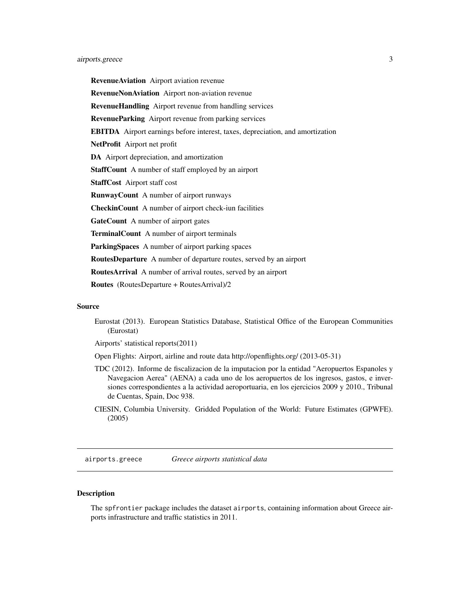<span id="page-2-0"></span>RevenueAviation Airport aviation revenue RevenueNonAviation Airport non-aviation revenue RevenueHandling Airport revenue from handling services RevenueParking Airport revenue from parking services EBITDA Airport earnings before interest, taxes, depreciation, and amortization NetProfit Airport net profit DA Airport depreciation, and amortization StaffCount A number of staff employed by an airport StaffCost Airport staff cost RunwayCount A number of airport runways CheckinCount A number of airport check-iun facilities GateCount A number of airport gates TerminalCount A number of airport terminals ParkingSpaces A number of airport parking spaces RoutesDeparture A number of departure routes, served by an airport RoutesArrival A number of arrival routes, served by an airport

Routes (RoutesDeparture + RoutesArrival)/2

#### Source

Eurostat (2013). European Statistics Database, Statistical Office of the European Communities (Eurostat)

Airports' statistical reports(2011)

Open Flights: Airport, airline and route data http://openflights.org/ (2013-05-31)

- TDC (2012). Informe de fiscalizacion de la imputacion por la entidad "Aeropuertos Espanoles y Navegacion Aerea" (AENA) a cada uno de los aeropuertos de los ingresos, gastos, e inversiones correspondientes a la actividad aeroportuaria, en los ejercicios 2009 y 2010., Tribunal de Cuentas, Spain, Doc 938.
- CIESIN, Columbia University. Gridded Population of the World: Future Estimates (GPWFE). (2005)

airports.greece *Greece airports statistical data*

# **Description**

The spfrontier package includes the dataset airports, containing information about Greece airports infrastructure and traffic statistics in 2011.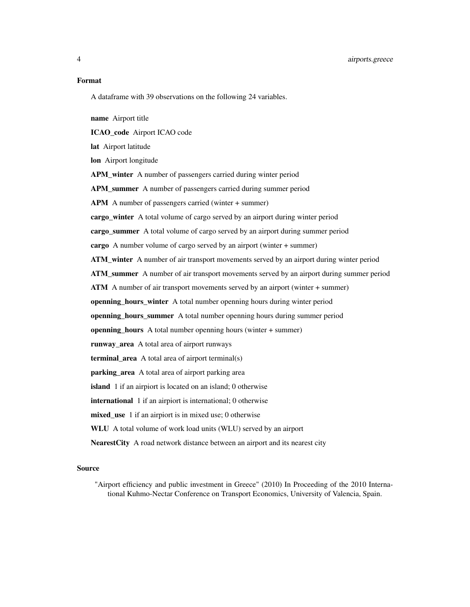4 airports.greece

#### Format

A dataframe with 39 observations on the following 24 variables.

name Airport title

ICAO\_code Airport ICAO code

lat Airport latitude

lon Airport longitude

APM\_winter A number of passengers carried during winter period

APM\_summer A number of passengers carried during summer period

APM A number of passengers carried (winter + summer)

cargo\_winter A total volume of cargo served by an airport during winter period

cargo\_summer A total volume of cargo served by an airport during summer period

cargo A number volume of cargo served by an airport (winter + summer)

ATM\_winter A number of air transport movements served by an airport during winter period

ATM\_summer A number of air transport movements served by an airport during summer period

ATM A number of air transport movements served by an airport (winter + summer)

openning\_hours\_winter A total number openning hours during winter period

openning\_hours\_summer A total number openning hours during summer period

openning hours A total number openning hours (winter  $+$  summer)

runway\_area A total area of airport runways

terminal\_area A total area of airport terminal(s)

parking\_area A total area of airport parking area

island 1 if an airpiort is located on an island; 0 otherwise

international 1 if an airpiort is international; 0 otherwise

mixed use 1 if an airpiort is in mixed use; 0 otherwise

WLU A total volume of work load units (WLU) served by an airport

NearestCity A road network distance between an airport and its nearest city

# Source

"Airport efficiency and public investment in Greece" (2010) In Proceeding of the 2010 International Kuhmo-Nectar Conference on Transport Economics, University of Valencia, Spain.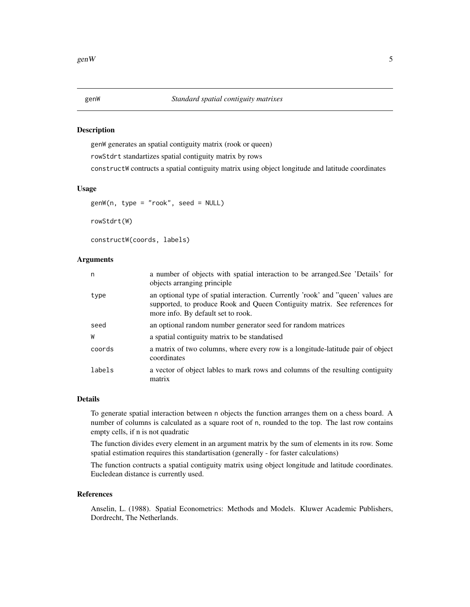# <span id="page-4-0"></span>Description

genW generates an spatial contiguity matrix (rook or queen) rowStdrt standartizes spatial contiguity matrix by rows constructW contructs a spatial contiguity matrix using object longitude and latitude coordinates

#### Usage

```
genW(n, type = "rook", seed = NULL)
```
rowStdrt(W)

constructW(coords, labels)

#### Arguments

| n      | a number of objects with spatial interaction to be arranged. See 'Details' for<br>objects arranging principle                                                                                        |
|--------|------------------------------------------------------------------------------------------------------------------------------------------------------------------------------------------------------|
| type   | an optional type of spatial interaction. Currently 'rook' and "queen' values are<br>supported, to produce Rook and Queen Contiguity matrix. See references for<br>more info. By default set to rook. |
| seed   | an optional random number generator seed for random matrices                                                                                                                                         |
| W      | a spatial contiguity matrix to be standatised                                                                                                                                                        |
| coords | a matrix of two columns, where every row is a longitude-latitude pair of object<br>coordinates                                                                                                       |
| labels | a vector of object lables to mark rows and columns of the resulting contiguity<br>matrix                                                                                                             |

#### Details

To generate spatial interaction between n objects the function arranges them on a chess board. A number of columns is calculated as a square root of n, rounded to the top. The last row contains empty cells, if n is not quadratic

The function divides every element in an argument matrix by the sum of elements in its row. Some spatial estimation requires this standartisation (generally - for faster calculations)

The function contructs a spatial contiguity matrix using object longitude and latitude coordinates. Eucledean distance is currently used.

# References

Anselin, L. (1988). Spatial Econometrics: Methods and Models. Kluwer Academic Publishers, Dordrecht, The Netherlands.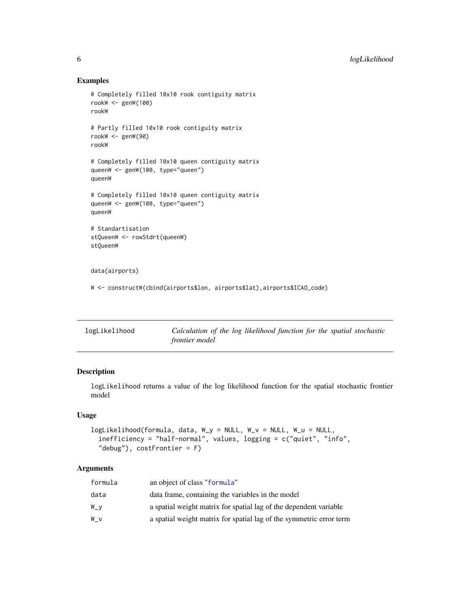#### Examples

```
# Completely filled 10x10 rook contiguity matrix
rookW <- genW(100)
rookW
# Partly filled 10x10 rook contiguity matrix
rookW <- genW(90)
rookW
# Completely filled 10x10 queen contiguity matrix
queenW <- genW(100, type="queen")
queenW
# Completely filled 10x10 queen contiguity matrix
queenW <- genW(100, type="queen")
queenW
# Standartisation
stQueenW <- rowStdrt(queenW)
stQueenW
data(airports)
```
W <- constructW(cbind(airports\$lon, airports\$lat),airports\$ICAO\_code)

| logLikelihood | Calculation of the log likelihood function for the spatial stochastic |
|---------------|-----------------------------------------------------------------------|
|               | <i>frontier model</i>                                                 |

# Description

logLikelihood returns a value of the log likelihood function for the spatial stochastic frontier model

#### Usage

```
logLikelihood(formula, data, W_y = NULL, W_v = NULL, W_u = NULL,
 inefficiency = "half-normal", values, logging = c("quiet", "info",
  "debug"), costFrontier = F)
```
# Arguments

| formula | an object of class "formula"                                        |
|---------|---------------------------------------------------------------------|
| data    | data frame, containing the variables in the model                   |
| W_v     | a spatial weight matrix for spatial lag of the dependent variable   |
| W v     | a spatial weight matrix for spatial lag of the symmetric error term |

<span id="page-5-0"></span>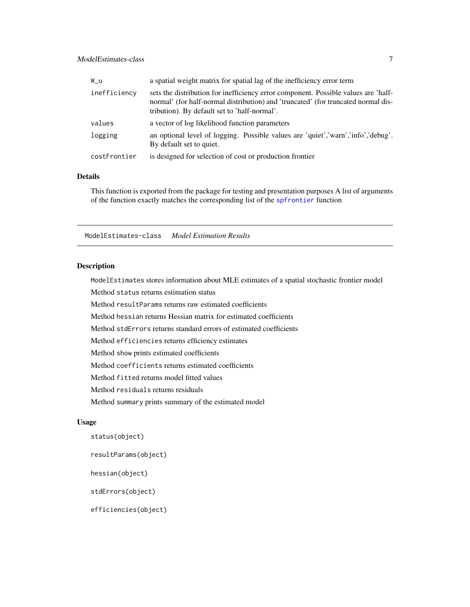# <span id="page-6-0"></span>ModelEstimates-class 7

| W u          | a spatial weight matrix for spatial lag of the inefficiency error term                                                                                                                                                  |
|--------------|-------------------------------------------------------------------------------------------------------------------------------------------------------------------------------------------------------------------------|
| inefficiency | sets the distribution for inefficiency error component. Possible values are 'half-<br>normal' (for half-normal distribution) and 'truncated' (for truncated normal dis-<br>tribution). By default set to 'half-normal'. |
| values       | a vector of log likelihood function parameters                                                                                                                                                                          |
| logging      | an optional level of logging. Possible values are 'quiet', 'warn', 'info', 'debug'.<br>By default set to quiet.                                                                                                         |
| costFrontier | is designed for selection of cost or production frontier                                                                                                                                                                |

# Details

This function is exported from the package for testing and presentation purposes A list of arguments of the function exactly matches the corresponding list of the [spfrontier](#page-8-1) function

ModelEstimates-class *Model Estimation Results*

### Description

ModelEstimates stores information about MLE estimates of a spatial stochastic frontier model Method status returns estimation status

Method resultParams returns raw estimated coefficients

Method hessian returns Hessian matrix for estimated coefficients

Method stdErrors returns standard errors of estimated coefficients

Method efficiencies returns efficiency estimates

Method show prints estimated coefficients

Method coefficients returns estimated coefficients

Method fitted returns model fitted values

Method residuals returns residuals

Method summary prints summary of the estimated model

#### Usage

```
status(object)
```
resultParams(object)

hessian(object)

stdErrors(object)

efficiencies(object)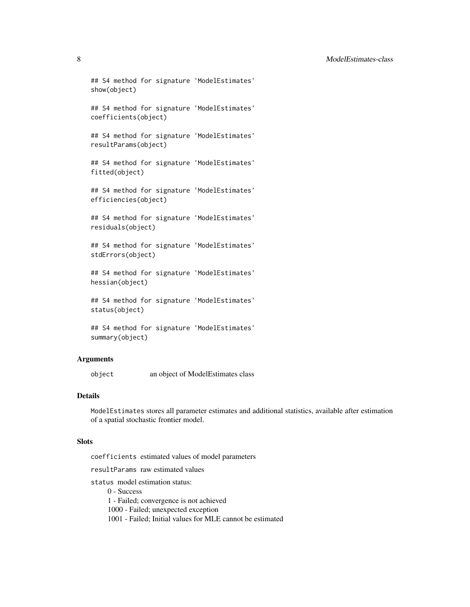#### 8 ModelEstimates-class

```
## S4 method for signature 'ModelEstimates'
show(object)
```

```
## S4 method for signature 'ModelEstimates'
coefficients(object)
```

```
## S4 method for signature 'ModelEstimates'
resultParams(object)
```
## S4 method for signature 'ModelEstimates' fitted(object)

## S4 method for signature 'ModelEstimates' efficiencies(object)

## S4 method for signature 'ModelEstimates' residuals(object)

## S4 method for signature 'ModelEstimates' stdErrors(object)

## S4 method for signature 'ModelEstimates' hessian(object)

## S4 method for signature 'ModelEstimates' status(object)

```
## S4 method for signature 'ModelEstimates'
summary(object)
```
#### Arguments

object an object of ModelEstimates class

# Details

ModelEstimates stores all parameter estimates and additional statistics, available after estimation of a spatial stochastic frontier model.

#### **Slots**

coefficients estimated values of model parameters

resultParams raw estimated values

status model estimation status:

0 - Success

1 - Failed; convergence is not achieved

1000 - Failed; unexpected exception

1001 - Failed; Initial values for MLE cannot be estimated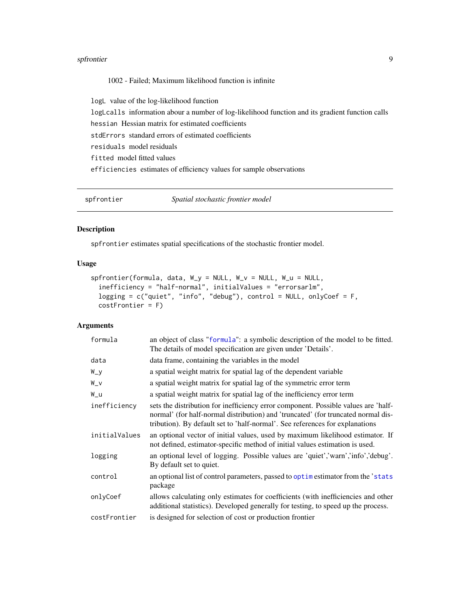#### <span id="page-8-0"></span>spfrontier 9

1002 - Failed; Maximum likelihood function is infinite

logL value of the log-likelihood function

logLcalls information abour a number of log-likelihood function and its gradient function calls hessian Hessian matrix for estimated coefficients

stdErrors standard errors of estimated coefficients

residuals model residuals

fitted model fitted values

efficiencies estimates of efficiency values for sample observations

<span id="page-8-1"></span>spfrontier *Spatial stochastic frontier model*

### Description

spfrontier estimates spatial specifications of the stochastic frontier model.

#### Usage

```
spfrontier(formula, data, W_y = NULL, W_v = NULL, W_u = NULL,
 inefficiency = "half-normal", initialValues = "errorsarlm",
  logging = c("quiet", "info", "debug"), control = NULL, onlyCoef = F,
 costFrontier = F)
```
#### Arguments

| formula       | an object of class "formula": a symbolic description of the model to be fitted.<br>The details of model specification are given under 'Details'.                                                                                                        |
|---------------|---------------------------------------------------------------------------------------------------------------------------------------------------------------------------------------------------------------------------------------------------------|
| data          | data frame, containing the variables in the model                                                                                                                                                                                                       |
| W_y           | a spatial weight matrix for spatial lag of the dependent variable                                                                                                                                                                                       |
| $W_V$         | a spatial weight matrix for spatial lag of the symmetric error term                                                                                                                                                                                     |
| W_u           | a spatial weight matrix for spatial lag of the inefficiency error term                                                                                                                                                                                  |
| inefficiency  | sets the distribution for inefficiency error component. Possible values are 'half-<br>normal' (for half-normal distribution) and 'truncated' (for truncated normal dis-<br>tribution). By default set to 'half-normal'. See references for explanations |
| initialValues | an optional vector of initial values, used by maximum likelihood estimator. If<br>not defined, estimator-specific method of initial values estimation is used.                                                                                          |
| logging       | an optional level of logging. Possible values are 'quiet', 'warn', 'info', 'debug'.<br>By default set to quiet.                                                                                                                                         |
| control       | an optional list of control parameters, passed to optimize estimator from the 'stats'<br>package                                                                                                                                                        |
| onlyCoef      | allows calculating only estimates for coefficients (with inefficiencies and other<br>additional statistics). Developed generally for testing, to speed up the process.                                                                                  |
| costFrontier  | is designed for selection of cost or production frontier                                                                                                                                                                                                |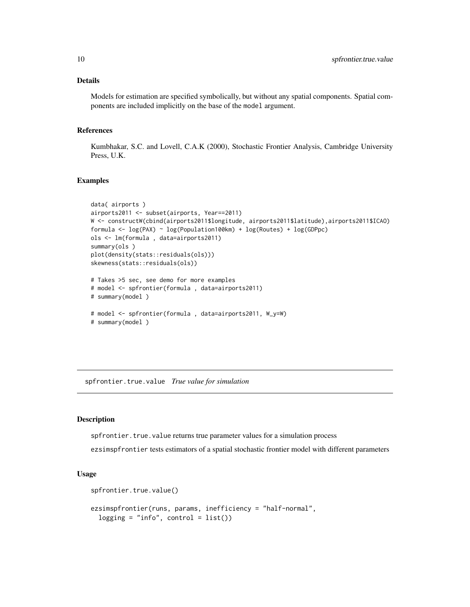### <span id="page-9-0"></span>Details

Models for estimation are specified symbolically, but without any spatial components. Spatial components are included implicitly on the base of the model argument.

# References

Kumbhakar, S.C. and Lovell, C.A.K (2000), Stochastic Frontier Analysis, Cambridge University Press, U.K.

#### Examples

```
data( airports )
airports2011 <- subset(airports, Year==2011)
W <- constructW(cbind(airports2011$longitude, airports2011$latitude),airports2011$ICAO)
formula <- log(PAX) ~ log(Population100km) + log(Routes) + log(GDPpc)
ols <- lm(formula , data=airports2011)
summary(ols )
plot(density(stats::residuals(ols)))
skewness(stats::residuals(ols))
# Takes >5 sec, see demo for more examples
# model <- spfrontier(formula , data=airports2011)
# summary(model )
# model <- spfrontier(formula , data=airports2011, W_y=W)
# summary(model )
```
spfrontier.true.value *True value for simulation*

#### Description

spfrontier.true.value returns true parameter values for a simulation process

ezsimspfrontier tests estimators of a spatial stochastic frontier model with different parameters

#### Usage

```
spfrontier.true.value()
```

```
ezsimspfrontier(runs, params, inefficiency = "half-normal",
  logging = "info", control = list())
```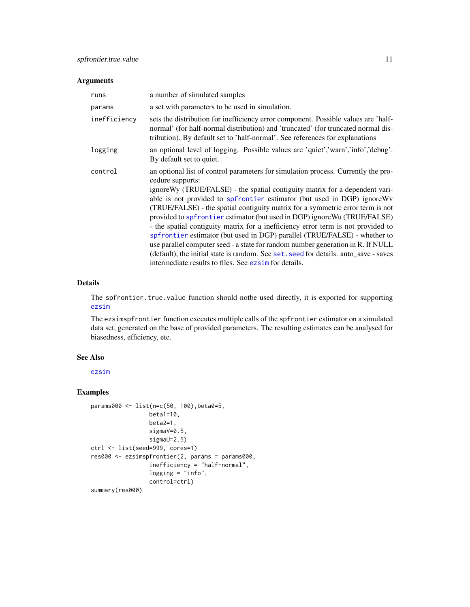#### <span id="page-10-0"></span>Arguments

| runs         | a number of simulated samples                                                                                                                                                                                                                                                                                                                                                                                                                                                                                                                                                                                                                                                                                                                                                                                                         |
|--------------|---------------------------------------------------------------------------------------------------------------------------------------------------------------------------------------------------------------------------------------------------------------------------------------------------------------------------------------------------------------------------------------------------------------------------------------------------------------------------------------------------------------------------------------------------------------------------------------------------------------------------------------------------------------------------------------------------------------------------------------------------------------------------------------------------------------------------------------|
| params       | a set with parameters to be used in simulation.                                                                                                                                                                                                                                                                                                                                                                                                                                                                                                                                                                                                                                                                                                                                                                                       |
| inefficiency | sets the distribution for inefficiency error component. Possible values are 'half-<br>normal' (for half-normal distribution) and 'truncated' (for truncated normal dis-<br>tribution). By default set to 'half-normal'. See references for explanations                                                                                                                                                                                                                                                                                                                                                                                                                                                                                                                                                                               |
| logging      | an optional level of logging. Possible values are 'quiet','warn','info','debug'.<br>By default set to quiet.                                                                                                                                                                                                                                                                                                                                                                                                                                                                                                                                                                                                                                                                                                                          |
| control      | an optional list of control parameters for simulation process. Currently the pro-<br>cedure supports:<br>ignore Wy (TRUE/FALSE) - the spatial contiguity matrix for a dependent vari-<br>able is not provided to spfrontier estimator (but used in DGP) ignore Wv<br>(TRUE/FALSE) - the spatial contiguity matrix for a symmetric error term is not<br>provided to spfrontier estimator (but used in DGP) ignore Wu (TRUE/FALSE)<br>- the spatial contiguity matrix for a inefficiency error term is not provided to<br>spfrontier estimator (but used in DGP) parallel (TRUE/FALSE) - whether to<br>use parallel computer seed - a state for random number generation in R. If NULL<br>(default), the initial state is random. See set. seed for details. auto_save - saves<br>intermediate results to files. See ezsim for details. |

# Details

The spfrontier.true.value function should notbe used directly, it is exported for supporting [ezsim](#page-0-0)

The ezsimspfrontier function executes multiple calls of the spfrontier estimator on a simulated data set, generated on the base of provided parameters. The resulting estimates can be analysed for biasedness, efficiency, etc.

#### See Also

[ezsim](#page-0-0)

# Examples

```
params000 <- list(n=c(50, 100),beta0=5,
                 beta1=10,
                 beta2=1,
                 sigmaV=0.5,
                 sigmaU=2.5)
ctrl <- list(seed=999, cores=1)
res000 <- ezsimspfrontier(2, params = params000,
                 inefficiency = "half-normal",
                 logging = "info",control=ctrl)
summary(res000)
```